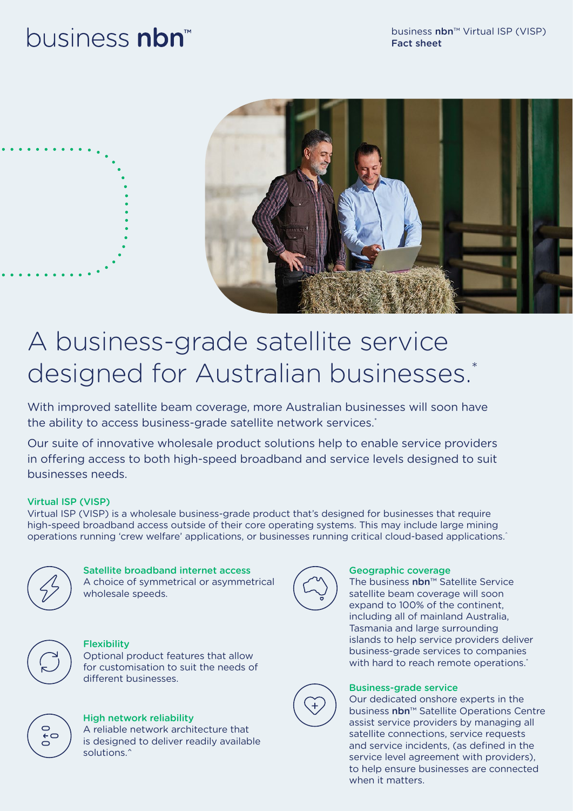# business nbn



# A business-grade satellite service designed for Australian businesses.<sup>\*</sup>

With improved satellite beam coverage, more Australian businesses will soon have the ability to access business-grade satellite network services.<sup>\*</sup>

Our suite of innovative wholesale product solutions help to enable service providers in offering access to both high-speed broadband and service levels designed to suit businesses needs.

### Virtual ISP (VISP)

Virtual ISP (VISP) is a wholesale business-grade product that's designed for businesses that require high-speed broadband access outside of their core operating systems. This may include large mining operations running 'crew welfare' applications, or businesses running critical cloud-based applications.<sup>^</sup>



# Satellite broadband internet access

A choice of symmetrical or asymmetrical wholesale speeds.



## Geographic coverage

The business nbn™ Satellite Service satellite beam coverage will soon expand to 100% of the continent, including all of mainland Australia, Tasmania and large surrounding islands to help service providers deliver business-grade services to companies with hard to reach remote operations.<sup>\*</sup>



### Business-grade service

Our dedicated onshore experts in the business nbn™ Satellite Operations Centre assist service providers by managing all satellite connections, service requests and service incidents, (as defined in the service level agreement with providers), to help ensure businesses are connected when it matters.



# **Flexibility**

Optional product features that allow for customisation to suit the needs of different businesses.



#### High network reliability A reliable network architecture that

is designed to deliver readily available solutions.<sup>^</sup>